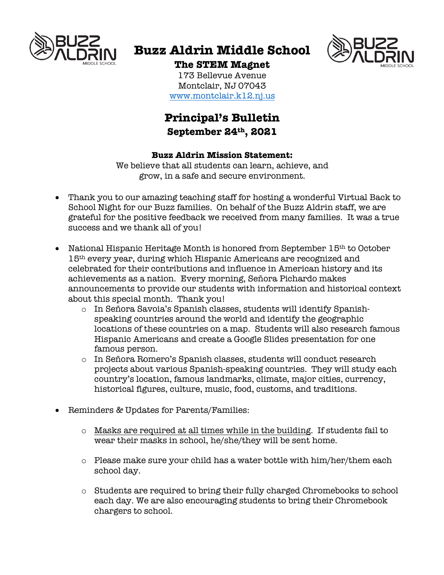

# **Buzz Aldrin Middle School**



## **The STEM Magnet**

173 Bellevue Avenue Montclair, NJ 07043 www.montclair.k12.nj.us

### **Principal's Bulletin September 24th, 2021**

#### **Buzz Aldrin Mission Statement:**

We believe that all students can learn, achieve, and grow, in a safe and secure environment.

- Thank you to our amazing teaching staff for hosting a wonderful Virtual Back to School Night for our Buzz families. On behalf of the Buzz Aldrin staff, we are grateful for the positive feedback we received from many families. It was a true success and we thank all of you!
- National Hispanic Heritage Month is honored from September 15<sup>th</sup> to October 15th every year, during which Hispanic Americans are recognized and celebrated for their contributions and influence in American history and its achievements as a nation. Every morning, Señora Pichardo makes announcements to provide our students with information and historical context about this special month. Thank you!
	- o In Señora Savoia's Spanish classes, students will identify Spanishspeaking countries around the world and identify the geographic locations of these countries on a map. Students will also research famous Hispanic Americans and create a Google Slides presentation for one famous person.
	- o In Señora Romero's Spanish classes, students will conduct research projects about various Spanish-speaking countries. They will study each country's location, famous landmarks, climate, major cities, currency, historical figures, culture, music, food, customs, and traditions.
- Reminders & Updates for Parents/Families:
	- $\circ$  Masks are required at all times while in the building. If students fail to wear their masks in school, he/she/they will be sent home.
	- $\circ$  Please make sure your child has a water bottle with him/her/them each school day.
	- o Students are required to bring their fully charged Chromebooks to school each day. We are also encouraging students to bring their Chromebook chargers to school.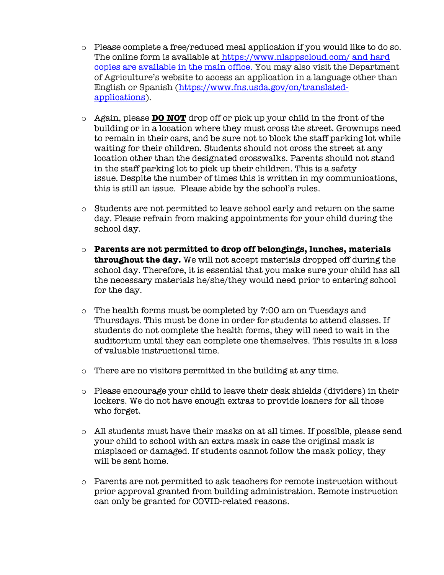- o Please complete a free/reduced meal application if you would like to do so. The online form is available at https://www.nlappscloud.com/ and hard copies are available in the main office. You may also visit the Department of Agriculture's website to access an application in a language other than English or Spanish (https://www.fns.usda.gov/cn/translatedapplications).
- o Again, please **DO NOT** drop off or pick up your child in the front of the building or in a location where they must cross the street. Grownups need to remain in their cars, and be sure not to block the staff parking lot while waiting for their children. Students should not cross the street at any location other than the designated crosswalks. Parents should not stand in the staff parking lot to pick up their children. This is a safety issue. Despite the number of times this is written in my communications, this is still an issue. Please abide by the school's rules.
- o Students are not permitted to leave school early and return on the same day. Please refrain from making appointments for your child during the school day.
- o **Parents are not permitted to drop off belongings, lunches, materials throughout the day.** We will not accept materials dropped off during the school day. Therefore, it is essential that you make sure your child has all the necessary materials he/she/they would need prior to entering school for the day.
- o The health forms must be completed by 7:00 am on Tuesdays and Thursdays. This must be done in order for students to attend classes. If students do not complete the health forms, they will need to wait in the auditorium until they can complete one themselves. This results in a loss of valuable instructional time.
- o There are no visitors permitted in the building at any time.
- o Please encourage your child to leave their desk shields (dividers) in their lockers. We do not have enough extras to provide loaners for all those who forget.
- o All students must have their masks on at all times. If possible, please send your child to school with an extra mask in case the original mask is misplaced or damaged. If students cannot follow the mask policy, they will be sent home.
- $\circ$  Parents are not permitted to ask teachers for remote instruction without prior approval granted from building administration. Remote instruction can only be granted for COVID-related reasons.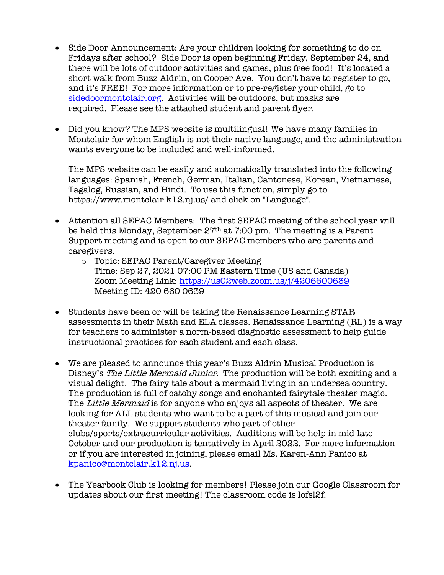- Side Door Announcement: Are your children looking for something to do on Fridays after school? Side Door is open beginning Friday, September 24, and there will be lots of outdoor activities and games, plus free food! It's located a short walk from Buzz Aldrin, on Cooper Ave. You don't have to register to go, and it's FREE! For more information or to pre-register your child, go to sidedoormontclair.org. Activities will be outdoors, but masks are required. Please see the attached student and parent flyer.
- Did you know? The MPS website is multilingual! We have many families in Montclair for whom English is not their native language, and the administration wants everyone to be included and well-informed.

The MPS website can be easily and automatically translated into the following languages: Spanish, French, German, Italian, Cantonese, Korean, Vietnamese, Tagalog, Russian, and Hindi. To use this function, simply go to https://www.montclair.k12.nj.us/ and click on "Language".

- Attention all SEPAC Members: The first SEPAC meeting of the school year will be held this Monday, September 27th at 7:00 pm. The meeting is a Parent Support meeting and is open to our SEPAC members who are parents and caregivers.
	- o Topic: SEPAC Parent/Caregiver Meeting Time: Sep 27, 2021 07:00 PM Eastern Time (US and Canada) Zoom Meeting Link: https://us02web.zoom.us/j/4206600639 Meeting ID: 420 660 0639
- Students have been or will be taking the Renaissance Learning STAR assessments in their Math and ELA classes. Renaissance Learning (RL) is a way for teachers to administer a norm-based diagnostic assessment to help guide instructional practices for each student and each class.
- We are pleased to announce this year's Buzz Aldrin Musical Production is Disney's The Little Mermaid Junior. The production will be both exciting and a visual delight. The fairy tale about a mermaid living in an undersea country. The production is full of catchy songs and enchanted fairytale theater magic. The Little Mermaid is for anyone who enjoys all aspects of theater. We are looking for ALL students who want to be a part of this musical and join our theater family. We support students who part of other clubs/sports/extracurricular activities. Auditions will be help in mid-late October and our production is tentatively in April 2022. For more information or if you are interested in joining, please email Ms. Karen-Ann Panico at kpanico@montclair.k12.nj.us.
- The Yearbook Club is looking for members! Please join our Google Classroom for updates about our first meeting! The classroom code is lofsl2f.